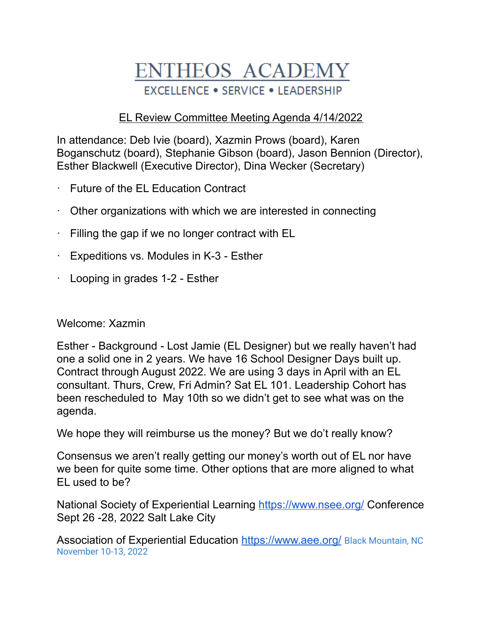## **ENTHEOS ACADEMY EXCELLENCE . SERVICE . LEADERSHIP**

## EL Review Committee Meeting Agenda 4/14/2022

In attendance: Deb Ivie (board), Xazmin Prows (board), Karen Boganschutz (board), Stephanie Gibson (board), Jason Bennion (Director), Esther Blackwell (Executive Director), Dina Wecker (Secretary)

- Future of the EL Education Contract
- · Other organizations with which we are interested in connecting
- · Filling the gap if we no longer contract with EL
- · Expeditions vs. Modules in K-3 Esther
- · Looping in grades 1-2 Esther

## Welcome: Xazmin

Esther - Background - Lost Jamie (EL Designer) but we really haven't had one a solid one in 2 years. We have 16 School Designer Days built up. Contract through August 2022. We are using 3 days in April with an EL consultant. Thurs, Crew, Fri Admin? Sat EL 101. Leadership Cohort has been rescheduled to May 10th so we didn't get to see what was on the agenda.

We hope they will reimburse us the money? But we do't really know?

Consensus we aren't really getting our money's worth out of EL nor have we been for quite some time. Other options that are more aligned to what EL used to be?

National Society of Experiential Learning <https://www.nsee.org/> Conference Sept 26 -28, 2022 Salt Lake City

Association of Experiential Education <https://www.aee.org/> Black Mountain, NC November 10-13, 2022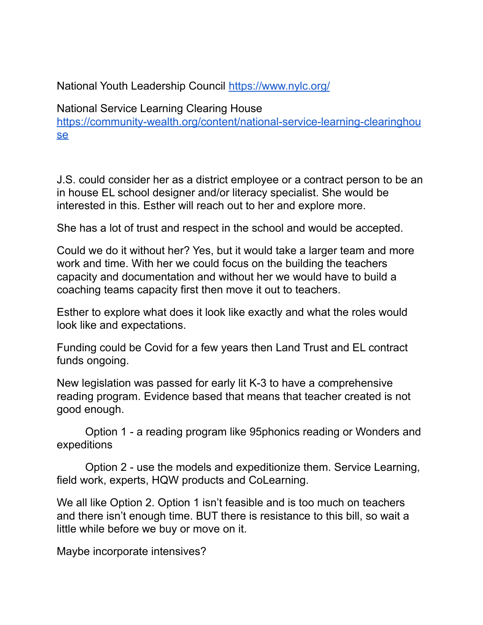National Youth Leadership Council <https://www.nylc.org/>

National Service Learning Clearing House [https://community-wealth.org/content/national-service-learning-clearinghou](https://community-wealth.org/content/national-service-learning-clearinghouse) [se](https://community-wealth.org/content/national-service-learning-clearinghouse)

J.S. could consider her as a district employee or a contract person to be an in house EL school designer and/or literacy specialist. She would be interested in this. Esther will reach out to her and explore more.

She has a lot of trust and respect in the school and would be accepted.

Could we do it without her? Yes, but it would take a larger team and more work and time. With her we could focus on the building the teachers capacity and documentation and without her we would have to build a coaching teams capacity first then move it out to teachers.

Esther to explore what does it look like exactly and what the roles would look like and expectations.

Funding could be Covid for a few years then Land Trust and EL contract funds ongoing.

New legislation was passed for early lit K-3 to have a comprehensive reading program. Evidence based that means that teacher created is not good enough.

Option 1 - a reading program like 95phonics reading or Wonders and expeditions

Option 2 - use the models and expeditionize them. Service Learning, field work, experts, HQW products and CoLearning.

We all like Option 2. Option 1 isn't feasible and is too much on teachers and there isn't enough time. BUT there is resistance to this bill, so wait a little while before we buy or move on it.

Maybe incorporate intensives?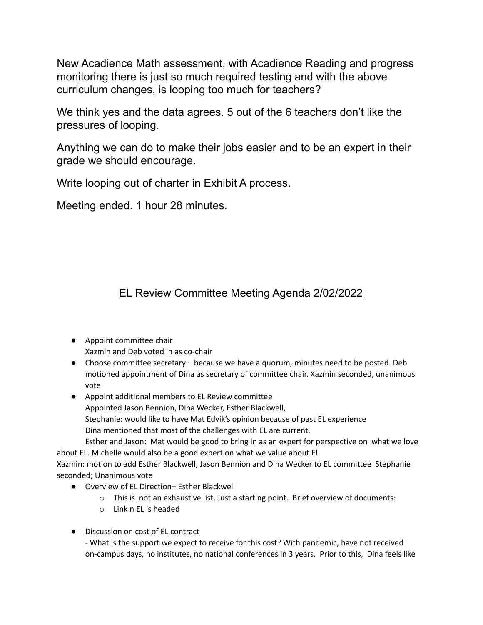New Acadience Math assessment, with Acadience Reading and progress monitoring there is just so much required testing and with the above curriculum changes, is looping too much for teachers?

We think yes and the data agrees. 5 out of the 6 teachers don't like the pressures of looping.

Anything we can do to make their jobs easier and to be an expert in their grade we should encourage.

Write looping out of charter in Exhibit A process.

Meeting ended. 1 hour 28 minutes.

## EL Review Committee Meeting Agenda 2/02/2022

- Appoint committee chair Xazmin and Deb voted in as co-chair
- Choose committee secretary : because we have a quorum, minutes need to be posted. Deb motioned appointment of Dina as secretary of committee chair. Xazmin seconded, unanimous vote
- Appoint additional members to EL Review committee Appointed Jason Bennion, Dina Wecker, Esther Blackwell, Stephanie: would like to have Mat Edvik's opinion because of past EL experience Dina mentioned that most of the challenges with EL are current. Esther and Jason: Mat would be good to bring in as an expert for perspective on what we love

about EL. Michelle would also be a good expert on what we value about El. Xazmin: motion to add Esther Blackwell, Jason Bennion and Dina Wecker to EL committee Stephanie seconded; Unanimous vote

- Overview of EL Direction– Esther Blackwell
	- o This is not an exhaustive list. Just a starting point. Brief overview of documents:
	- o Link n EL is headed
- Discussion on cost of EL contract

- What is the support we expect to receive for this cost? With pandemic, have not received on-campus days, no institutes, no national conferences in 3 years. Prior to this, Dina feels like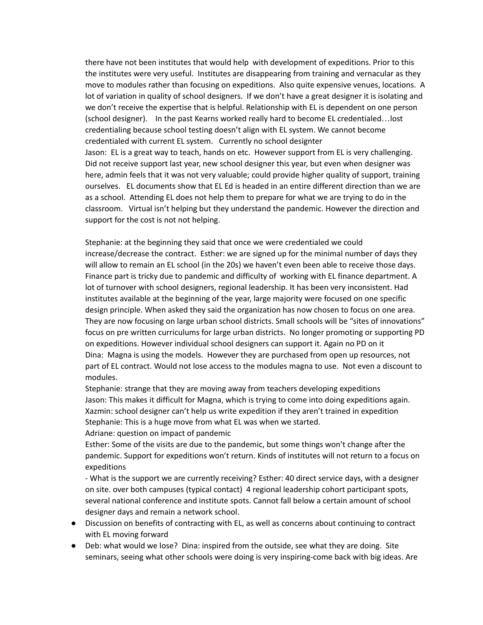there have not been institutes that would help with development of expeditions. Prior to this the institutes were very useful. Institutes are disappearing from training and vernacular as they move to modules rather than focusing on expeditions. Also quite expensive venues, locations. A lot of variation in quality of school designers. If we don't have a great designer it is isolating and we don't receive the expertise that is helpful. Relationship with EL is dependent on one person (school designer). In the past Kearns worked really hard to become EL credentialed…lost credentialing because school testing doesn't align with EL system. We cannot become credentialed with current EL system. Currently no school designter Jason: EL is a great way to teach, hands on etc. However support from EL is very challenging. Did not receive support last year, new school designer this year, but even when designer was here, admin feels that it was not very valuable; could provide higher quality of support, training ourselves. EL documents show that EL Ed is headed in an entire different direction than we are as a school. Attending EL does not help them to prepare for what we are trying to do in the classroom. Virtual isn't helping but they understand the pandemic. However the direction and support for the cost is not not helping.

Stephanie: at the beginning they said that once we were credentialed we could increase/decrease the contract. Esther: we are signed up for the minimal number of days they will allow to remain an EL school (in the 20s) we haven't even been able to receive those days. Finance part is tricky due to pandemic and difficulty of working with EL finance department. A lot of turnover with school designers, regional leadership. It has been very inconsistent. Had institutes available at the beginning of the year, large majority were focused on one specific design principle. When asked they said the organization has now chosen to focus on one area. They are now focusing on large urban school districts. Small schools will be "sites of innovations" focus on pre written curriculums for large urban districts. No longer promoting or supporting PD on expeditions. However individual school designers can support it. Again no PD on it Dina: Magna is using the models. However they are purchased from open up resources, not part of EL contract. Would not lose access to the modules magna to use. Not even a discount to modules.

Stephanie: strange that they are moving away from teachers developing expeditions Jason: This makes it difficult for Magna, which is trying to come into doing expeditions again. Xazmin: school designer can't help us write expedition if they aren't trained in expedition Stephanie: This is a huge move from what EL was when we started.

Adriane: question on impact of pandemic

Esther: Some of the visits are due to the pandemic, but some things won't change after the pandemic. Support for expeditions won't return. Kinds of institutes will not return to a focus on expeditions

- What is the support we are currently receiving? Esther: 40 direct service days, with a designer on site. over both campuses (typical contact) 4 regional leadership cohort participant spots, several national conference and institute spots. Cannot fall below a certain amount of school designer days and remain a network school.

- Discussion on benefits of contracting with EL, as well as concerns about continuing to contract with EL moving forward
- Deb: what would we lose? Dina: inspired from the outside, see what they are doing. Site seminars, seeing what other schools were doing is very inspiring-come back with big ideas. Are